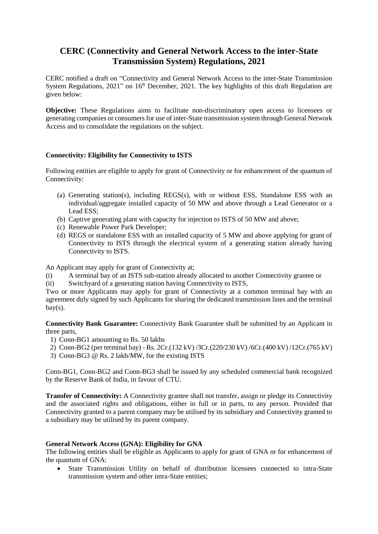## **CERC (Connectivity and General Network Access to the inter-State Transmission System) Regulations, 2021**

CERC notified a draft on "Connectivity and General Network Access to the inter-State Transmission System Regulations,  $2021$ " on  $16<sup>th</sup>$  December,  $2021$ . The key highlights of this draft Regulation are given below:

**Objective:** These Regulations aims to facilitate non-discriminatory open access to licensees or generating companies or consumers for use of inter-State transmission system through General Network Access and to consolidate the regulations on the subject.

## **Connectivity: Eligibility for Connectivity to ISTS**

Following entities are eligible to apply for grant of Connectivity or for enhancement of the quantum of Connectivity:

- (a) Generating station(s), including REGS(s), with or without ESS, Standalone ESS with an individual/aggregate installed capacity of 50 MW and above through a Lead Generator or a Lead ESS;
- (b) Captive generating plant with capacity for injection to ISTS of 50 MW and above;
- (c) Renewable Power Park Developer;
- (d) REGS or standalone ESS with an installed capacity of 5 MW and above applying for grant of Connectivity to ISTS through the electrical system of a generating station already having Connectivity to ISTS.

An Applicant may apply for grant of Connectivity at;

- (i) A terminal bay of an ISTS sub-station already allocated to another Connectivity grantee or
- (ii) Switchyard of a generating station having Connectivity to ISTS,

Two or more Applicants may apply for grant of Connectivity at a common terminal bay with an agreement duly signed by such Applicants for sharing the dedicated transmission lines and the terminal  $bay(s)$ .

**Connectivity Bank Guarantee:** Connectivity Bank Guarantee shall be submitted by an Applicant in three parts,

- 1) Conn-BG1 amounting to Rs. 50 lakhs
- 2) Conn-BG2 (per terminal bay) Rs. 2Cr.(132 kV) /3Cr.(220/230 kV) /6Cr.(400 kV) /12Cr.(765 kV)
- 3) Conn-BG3 @ Rs. 2 lakh/MW, for the existing ISTS

Conn-BG1, Conn-BG2 and Conn-BG3 shall be issued by any scheduled commercial bank recognized by the Reserve Bank of India, in favour of CTU.

**Transfer of Connectivity:** A Connectivity grantee shall not transfer, assign or pledge its Connectivity and the associated rights and obligations, either in full or in parts, to any person. Provided that Connectivity granted to a parent company may be utilised by its subsidiary and Connectivity granted to a subsidiary may be utilised by its parent company.

## **General Network Access (GNA): Eligibility for GNA**

The following entities shall be eligible as Applicants to apply for grant of GNA or for enhancement of the quantum of GNA:

 State Transmission Utility on behalf of distribution licensees connected to intra-State transmission system and other intra-State entities;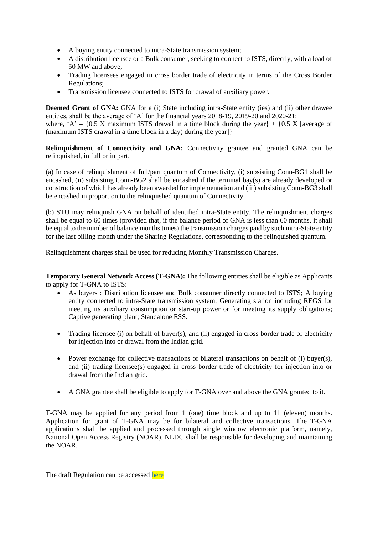- A buying entity connected to intra-State transmission system;
- A distribution licensee or a Bulk consumer, seeking to connect to ISTS, directly, with a load of 50 MW and above;
- Trading licensees engaged in cross border trade of electricity in terms of the Cross Border Regulations;
- Transmission licensee connected to ISTS for drawal of auxiliary power.

**Deemed Grant of GNA:** GNA for a (i) State including intra-State entity (ies) and (ii) other drawee entities, shall be the average of 'A' for the financial years 2018-19, 2019-20 and 2020-21: where, 'A' =  $\{0.5 \text{ X maximum ISTS}$  drawal in a time block during the year  $\} + \{0.5 \text{ X}$  [average of (maximum ISTS drawal in a time block in a day) during the year]}

**Relinquishment of Connectivity and GNA:** Connectivity grantee and granted GNA can be relinquished, in full or in part.

(a) In case of relinquishment of full/part quantum of Connectivity, (i) subsisting Conn-BG1 shall be encashed, (ii) subsisting Conn-BG2 shall be encashed if the terminal bay(s) are already developed or construction of which has already been awarded for implementation and (iii) subsisting Conn-BG3 shall be encashed in proportion to the relinquished quantum of Connectivity.

(b) STU may relinquish GNA on behalf of identified intra-State entity. The relinquishment charges shall be equal to 60 times (provided that, if the balance period of GNA is less than 60 months, it shall be equal to the number of balance months times) the transmission charges paid by such intra-State entity for the last billing month under the Sharing Regulations, corresponding to the relinquished quantum.

Relinquishment charges shall be used for reducing Monthly Transmission Charges.

**Temporary General Network Access (T-GNA):** The following entities shall be eligible as Applicants to apply for T-GNA to ISTS:

- As buyers : Distribution licensee and Bulk consumer directly connected to ISTS; A buying entity connected to intra-State transmission system; Generating station including REGS for meeting its auxiliary consumption or start-up power or for meeting its supply obligations; Captive generating plant; Standalone ESS.
- Trading licensee (i) on behalf of buyer(s), and (ii) engaged in cross border trade of electricity for injection into or drawal from the Indian grid.
- Power exchange for collective transactions or bilateral transactions on behalf of (i) buyer(s), and (ii) trading licensee(s) engaged in cross border trade of electricity for injection into or drawal from the Indian grid.
- A GNA grantee shall be eligible to apply for T-GNA over and above the GNA granted to it.

T-GNA may be applied for any period from 1 (one) time block and up to 11 (eleven) months. Application for grant of T-GNA may be for bilateral and collective transactions. The T-GNA applications shall be applied and processed through single window electronic platform, namely, National Open Access Registry (NOAR). NLDC shall be responsible for developing and maintaining the NOAR.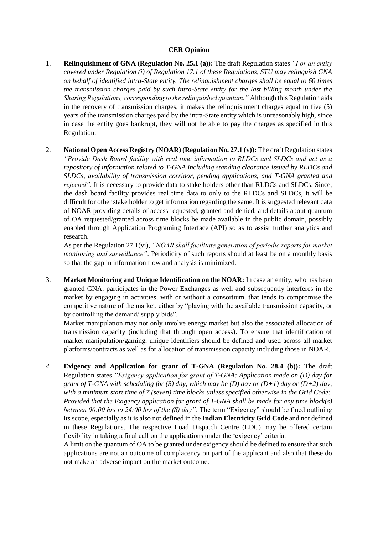## **CER Opinion**

- 1. **Relinquishment of GNA (Regulation No. 25.1 (a)):** The draft Regulation states *"For an entity covered under Regulation (i) of Regulation 17.1 of these Regulations, STU may relinquish GNA on behalf of identified intra-State entity. The relinquishment charges shall be equal to 60 times the transmission charges paid by such intra-State entity for the last billing month under the Sharing Regulations, corresponding to the relinquished quantum."* Although this Regulation aids in the recovery of transmission charges, it makes the relinquishment charges equal to five (5) years of the transmission charges paid by the intra-State entity which is unreasonably high, since in case the entity goes bankrupt, they will not be able to pay the charges as specified in this Regulation.
- 2. **National Open Access Registry (NOAR) (Regulation No. 27.1 (v)):** The draft Regulation states *"Provide Dash Board facility with real time information to RLDCs and SLDCs and act as a repository of information related to T-GNA including standing clearance issued by RLDCs and SLDCs, availability of transmission corridor, pending applications, and T-GNA granted and rejected"*. It is necessary to provide data to stake holders other than RLDCs and SLDCs. Since, the dash board facility provides real time data to only to the RLDCs and SLDCs, it will be difficult for other stake holder to get information regarding the same. It is suggested relevant data of NOAR providing details of access requested, granted and denied, and details about quantum of OA requested/granted across time blocks be made available in the public domain, possibly enabled through Application Programing Interface (API) so as to assist further analytics and research.

As per the Regulation 27.1(vi), *"NOAR shall facilitate generation of periodic reports for market monitoring and surveillance"*. Periodicity of such reports should at least be on a monthly basis so that the gap in information flow and analysis is minimized.

3. **Market Monitoring and Unique Identification on the NOAR:** In case an entity, who has been granted GNA, participates in the Power Exchanges as well and subsequently interferes in the market by engaging in activities, with or without a consortium, that tends to compromise the competitive nature of the market, either by "playing with the available transmission capacity, or by controlling the demand/ supply bids".

Market manipulation may not only involve energy market but also the associated allocation of transmission capacity (including that through open access). To ensure that identification of market manipulation/gaming, unique identifiers should be defined and used across all market platforms/contracts as well as for allocation of transmission capacity including those in NOAR.

*4.* **Exigency and Application for grant of T-GNA (Regulation No. 28.4 (b)):** The draft Regulation states *"Exigency application for grant of T-GNA: Application made on (D) day for grant of T-GNA with scheduling for (S) day, which may be (D) day or (D+1) day or (D+2) day, with a minimum start time of 7 (seven) time blocks unless specified otherwise in the Grid Code: Provided that the Exigency application for grant of T-GNA shall be made for any time block(s) between 00:00 hrs to 24:00 hrs of the (S) day".* The term "Exigency" should be fined outlining its scope, especially as it is also not defined in the **Indian Electricity Grid Code** and not defined in these Regulations. The respective Load Dispatch Centre (LDC) may be offered certain flexibility in taking a final call on the applications under the 'exigency' criteria.

A limit on the quantum of OA to be granted under exigency should be defined to ensure that such applications are not an outcome of complacency on part of the applicant and also that these do not make an adverse impact on the market outcome.